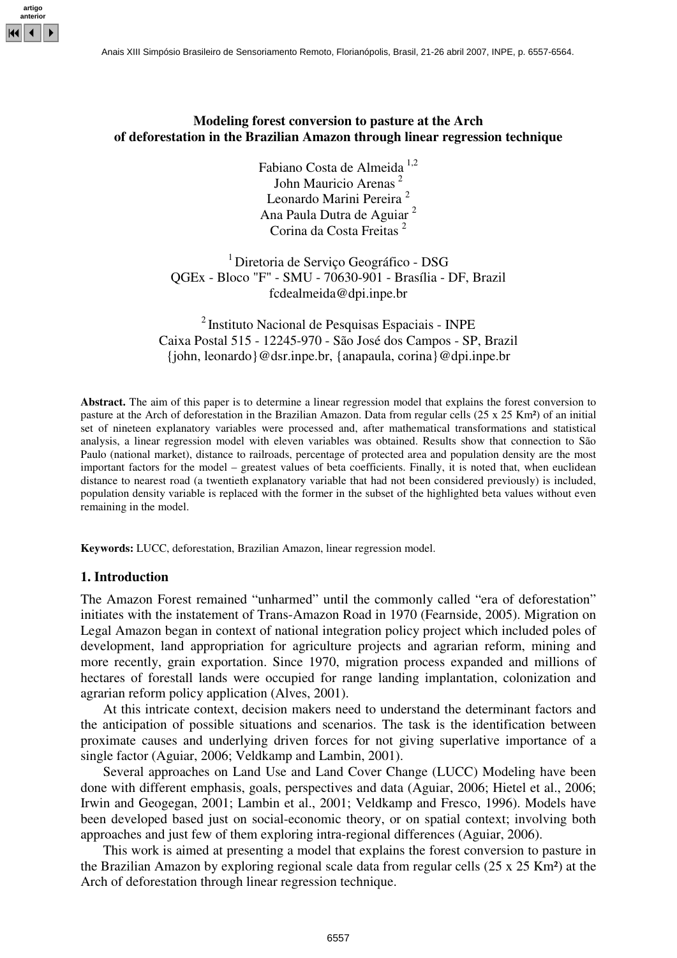### **Modeling forest conversion to pasture at the Arch of deforestation in the Brazilian Amazon through linear regression technique**

Fabiano Costa de Almeida 1,2 John Mauricio Arenas <sup>2</sup> Leonardo Marini Pereira<sup>2</sup> Ana Paula Dutra de Aguiar <sup>2</sup> Corina da Costa Freitas<sup>2</sup>

<sup>1</sup> Diretoria de Serviço Geográfico - DSG QGEx - Bloco "F" - SMU - 70630-901 - Brasília - DF, Brazil fcdealmeida@dpi.inpe.br

2 Instituto Nacional de Pesquisas Espaciais - INPE Caixa Postal 515 - 12245-970 - São José dos Campos - SP, Brazil {john, leonardo}@dsr.inpe.br, {anapaula, corina}@dpi.inpe.br

**Abstract.** The aim of this paper is to determine a linear regression model that explains the forest conversion to pasture at the Arch of deforestation in the Brazilian Amazon. Data from regular cells (25 x 25 Km²) of an initial set of nineteen explanatory variables were processed and, after mathematical transformations and statistical analysis, a linear regression model with eleven variables was obtained. Results show that connection to São Paulo (national market), distance to railroads, percentage of protected area and population density are the most important factors for the model – greatest values of beta coefficients. Finally, it is noted that, when euclidean distance to nearest road (a twentieth explanatory variable that had not been considered previously) is included, population density variable is replaced with the former in the subset of the highlighted beta values without even remaining in the model.

**Keywords:** LUCC, deforestation, Brazilian Amazon, linear regression model.

### **1. Introduction**

The Amazon Forest remained "unharmed" until the commonly called "era of deforestation" initiates with the instatement of Trans-Amazon Road in 1970 (Fearnside, 2005). Migration on Legal Amazon began in context of national integration policy project which included poles of development, land appropriation for agriculture projects and agrarian reform, mining and more recently, grain exportation. Since 1970, migration process expanded and millions of hectares of forestall lands were occupied for range landing implantation, colonization and agrarian reform policy application (Alves, 2001).

At this intricate context, decision makers need to understand the determinant factors and the anticipation of possible situations and scenarios. The task is the identification between proximate causes and underlying driven forces for not giving superlative importance of a single factor (Aguiar, 2006; Veldkamp and Lambin, 2001).

Several approaches on Land Use and Land Cover Change (LUCC) Modeling have been done with different emphasis, goals, perspectives and data (Aguiar, 2006; Hietel et al., 2006; Irwin and Geogegan, 2001; Lambin et al., 2001; Veldkamp and Fresco, 1996). Models have been developed based just on social-economic theory, or on spatial context; involving both approaches and just few of them exploring intra-regional differences (Aguiar, 2006).

This work is aimed at presenting a model that explains the forest conversion to pasture in the Brazilian Amazon by exploring regional scale data from regular cells (25 x 25 Km²) at the Arch of deforestation through linear regression technique.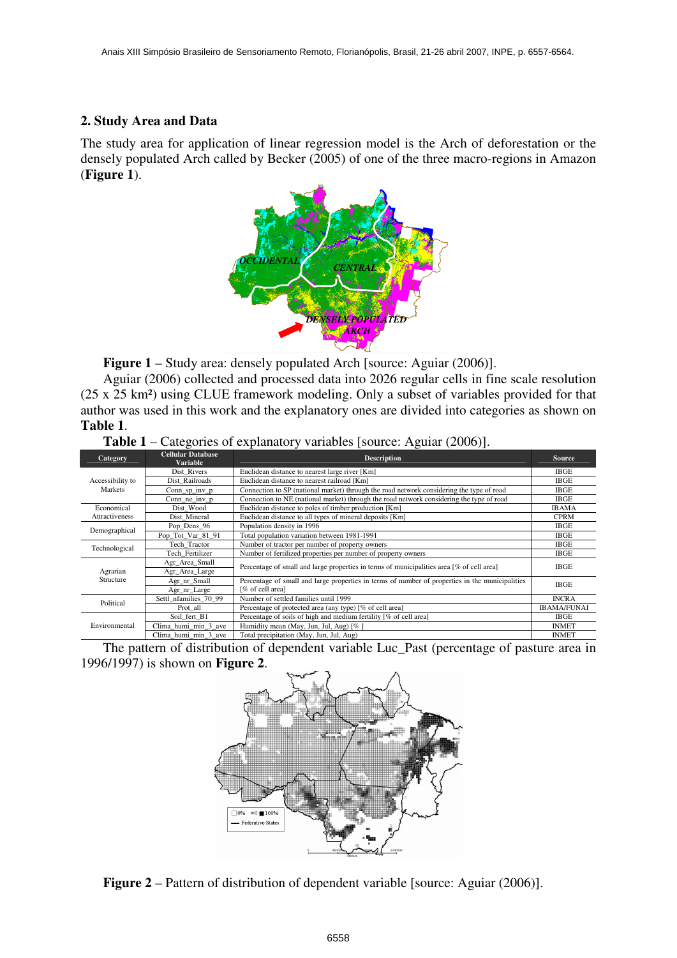# **2. Study Area and Data**

The study area for application of linear regression model is the Arch of deforestation or the densely populated Arch called by Becker (2005) of one of the three macro-regions in Amazon (**Figure 1**).



**Figure 1** – Study area: densely populated Arch [source: Aguiar (2006)].

Aguiar (2006) collected and processed data into 2026 regular cells in fine scale resolution (25 x 25 km²) using CLUE framework modeling. Only a subset of variables provided for that author was used in this work and the explanatory ones are divided into categories as shown on **Table 1**.

| 1 U.VIV 1             |                                             | $\alpha$ called the capital contracted positive. The called $\alpha$ (2000) is                                      |                    |
|-----------------------|---------------------------------------------|---------------------------------------------------------------------------------------------------------------------|--------------------|
| Category              | <b>Cellular Database</b><br><b>Variable</b> | <b>Description</b>                                                                                                  | <b>Source</b>      |
|                       | Dist Rivers                                 | Euclidean distance to nearest large river [Km]                                                                      | <b>IBGE</b>        |
| Accessibility to      | Dist Railroads                              | Euclidean distance to nearest railroad [Km]                                                                         | <b>IBGE</b>        |
| Markets               | $Conn_sp_inv_p$                             | Connection to SP (national market) through the road network considering the type of road                            | <b>IBGE</b>        |
|                       | Conn ne inv p                               | Connection to NE (national market) through the road network considering the type of road                            | <b>IBGE</b>        |
| Economical            | Dist Wood                                   | Euclidean distance to poles of timber production [Km]                                                               | <b>IBAMA</b>       |
| Attractiveness        | Dist Mineral                                | Euclidean distance to all types of mineral deposits [Km]                                                            | <b>CPRM</b>        |
| Demographical         | Pop Dens 96                                 | Population density in 1996                                                                                          | <b>IBGE</b>        |
|                       | Pop Tot Var 81 91                           | Total population variation between 1981-1991                                                                        | <b>IBGE</b>        |
| Technological         | Tech Tractor                                | Number of tractor per number of property owners                                                                     | <b>IBGE</b>        |
|                       | Tech Fertilizer                             | Number of fertilized properties per number of property owners                                                       | <b>IBGE</b>        |
| Agrarian<br>Structure | Agr Area Small<br>Agr Area Large            | Percentage of small and large properties in terms of municipalities area $[\%$ of cell area]                        | <b>IBGE</b>        |
|                       | Agr nr Small<br>Agr nr Large                | Percentage of small and large properties in terms of number of properties in the municipalities<br>[% of cell area] | <b>IBGE</b>        |
| Political             | Settl nfamilies 70 99                       | Number of settled families until 1999                                                                               | <b>INCRA</b>       |
|                       | Prot all                                    | Percentage of protected area (any type) [% of cell area]                                                            | <b>IBAMA/FUNAI</b> |
| Environmental         | Soil fert B1                                | Percentage of soils of high and medium fertility [% of cell area]                                                   | <b>IBGE</b>        |
|                       | Clima humi min 3 ave                        | Humidity mean (May, Jun, Jul, Aug) [%]                                                                              | <b>INMET</b>       |
|                       | Clima humi min 3 ave                        | Total precipitation (May, Jun, Jul, Aug)                                                                            | <b>INMET</b>       |

**Table 1** – Categories of explanatory variables [source: Aguiar (2006)].

The pattern of distribution of dependent variable Luc\_Past (percentage of pasture area in 1996/1997) is shown on **Figure 2**.



**Figure 2** – Pattern of distribution of dependent variable [source: Aguiar (2006)].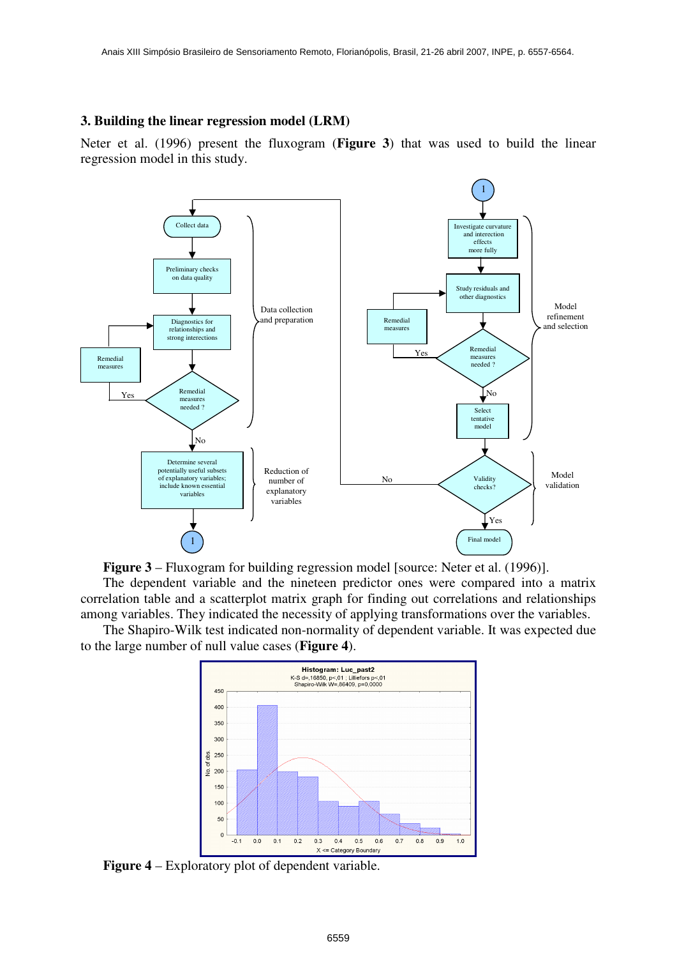#### **3. Building the linear regression model (LRM)**

Neter et al. (1996) present the fluxogram (**Figure 3**) that was used to build the linear regression model in this study.



**Figure 3** – Fluxogram for building regression model [source: Neter et al. (1996)].

The dependent variable and the nineteen predictor ones were compared into a matrix correlation table and a scatterplot matrix graph for finding out correlations and relationships among variables. They indicated the necessity of applying transformations over the variables.

The Shapiro-Wilk test indicated non-normality of dependent variable. It was expected due to the large number of null value cases (**Figure 4**).



**Figure 4** – Exploratory plot of dependent variable.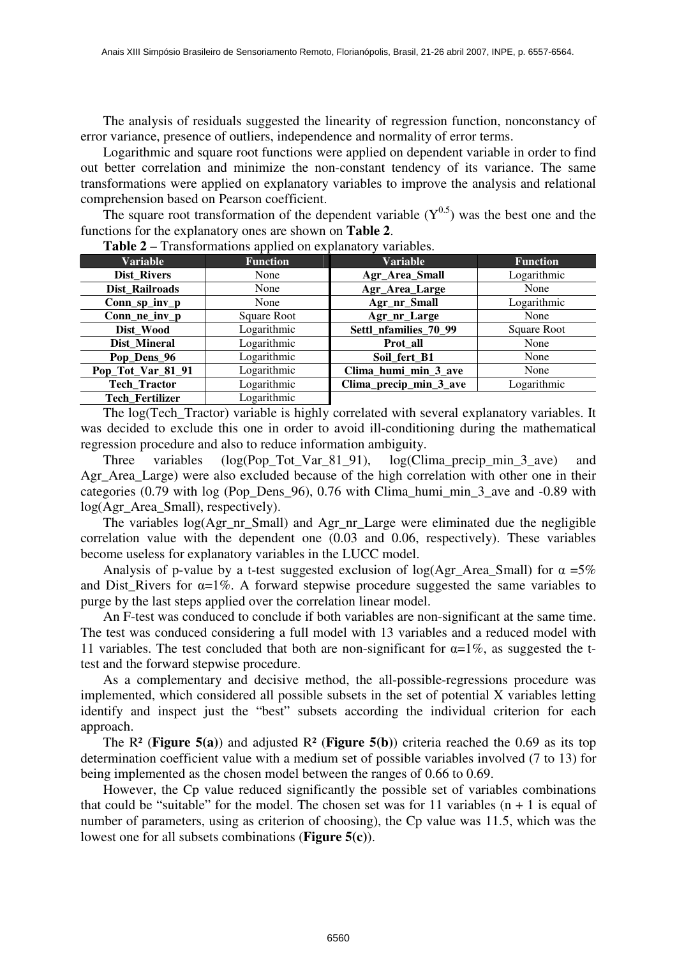The analysis of residuals suggested the linearity of regression function, nonconstancy of error variance, presence of outliers, independence and normality of error terms.

Logarithmic and square root functions were applied on dependent variable in order to find out better correlation and minimize the non-constant tendency of its variance. The same transformations were applied on explanatory variables to improve the analysis and relational comprehension based on Pearson coefficient.

The square root transformation of the dependent variable  $(Y^{0.5})$  was the best one and the functions for the explanatory ones are shown on **Table 2**.

| Transformations applied on explainator, variables. |                 |                        |                 |  |  |  |  |  |
|----------------------------------------------------|-----------------|------------------------|-----------------|--|--|--|--|--|
| <b>Variable</b>                                    | <b>Function</b> | <b>Variable</b>        | <b>Function</b> |  |  |  |  |  |
| Dist Rivers                                        | None            | Agr_Area_Small         | Logarithmic     |  |  |  |  |  |
| Dist_Railroads                                     | None            | Agr_Area_Large         | None            |  |  |  |  |  |
| Conn_sp_inv_p                                      | None            | Agr_nr_Small           | Logarithmic     |  |  |  |  |  |
| $Conn_ne_inv_p$                                    | Square Root     | Agr_nr_Large           | None            |  |  |  |  |  |
| Dist Wood                                          | Logarithmic     | Settl nfamilies 70 99  | Square Root     |  |  |  |  |  |
| <b>Dist Mineral</b>                                | Logarithmic     | Prot_all               | None            |  |  |  |  |  |
| Pop_Dens_96                                        | Logarithmic     | Soil fert B1           | None            |  |  |  |  |  |
| Pop_Tot_Var_81_91                                  | Logarithmic     | Clima_humi_min_3_ave   | None            |  |  |  |  |  |
| <b>Tech Tractor</b>                                | Logarithmic     | Clima_precip_min_3_ave | Logarithmic     |  |  |  |  |  |
| <b>Tech Fertilizer</b>                             | Logarithmic     |                        |                 |  |  |  |  |  |

**Table 2** – Transformations applied on explanatory variables.

The log(Tech\_Tractor) variable is highly correlated with several explanatory variables. It was decided to exclude this one in order to avoid ill-conditioning during the mathematical regression procedure and also to reduce information ambiguity.

Three variables (log(Pop\_Tot\_Var\_81\_91), log(Clima\_precip\_min\_3\_ave) and Agr\_Area\_Large) were also excluded because of the high correlation with other one in their categories (0.79 with log (Pop\_Dens\_96), 0.76 with Clima\_humi\_min\_3\_ave and -0.89 with log(Agr\_Area\_Small), respectively).

The variables log(Agr\_nr\_Small) and Agr\_nr\_Large were eliminated due the negligible correlation value with the dependent one (0.03 and 0.06, respectively). These variables become useless for explanatory variables in the LUCC model.

Analysis of p-value by a t-test suggested exclusion of log(Agr\_Area\_Small) for  $\alpha = 5\%$ and Dist\_Rivers for  $\alpha=1\%$ . A forward stepwise procedure suggested the same variables to purge by the last steps applied over the correlation linear model.

An F-test was conduced to conclude if both variables are non-significant at the same time. The test was conduced considering a full model with 13 variables and a reduced model with 11 variables. The test concluded that both are non-significant for  $\alpha=1\%$ , as suggested the ttest and the forward stepwise procedure.

As a complementary and decisive method, the all-possible-regressions procedure was implemented, which considered all possible subsets in the set of potential X variables letting identify and inspect just the "best" subsets according the individual criterion for each approach.

The  $\mathbb{R}^2$  (**Figure** 5(a)) and adjusted  $\mathbb{R}^2$  (**Figure** 5(b)) criteria reached the 0.69 as its top determination coefficient value with a medium set of possible variables involved (7 to 13) for being implemented as the chosen model between the ranges of 0.66 to 0.69.

However, the Cp value reduced significantly the possible set of variables combinations that could be "suitable" for the model. The chosen set was for 11 variables  $(n + 1)$  is equal of number of parameters, using as criterion of choosing), the Cp value was 11.5, which was the lowest one for all subsets combinations (**Figure 5(c)**).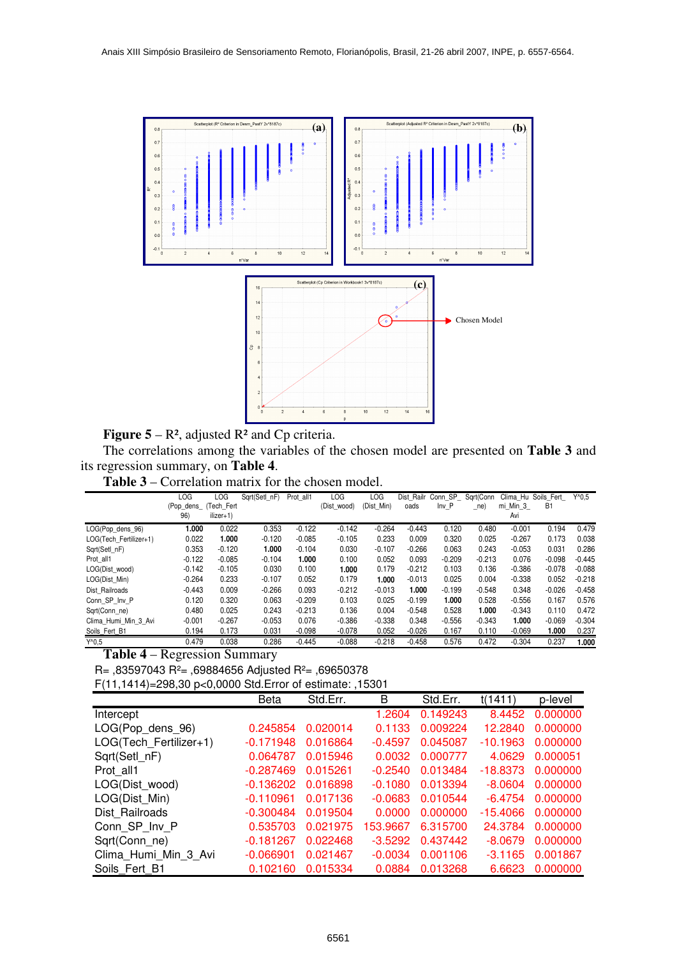

**Figure 5** –  $R^2$ , adjusted  $R^2$  and Cp criteria.

The correlations among the variables of the chosen model are presented on **Table 3** and its regression summary, on **Table 4**.

**Table 3** – Correlation matrix for the chosen model.

|                        | LOG              | LOG                     | Sqrt(SetI nF) | Prot all1 | LOG         | LOG        |          | Dist Railr Conn SP | Sart(Conn | Clima Hu        | Soils Fert | $Y^0.5$  |
|------------------------|------------------|-------------------------|---------------|-----------|-------------|------------|----------|--------------------|-----------|-----------------|------------|----------|
|                        | (Pop dens<br>96) | (Tech Fert<br>ilizer+1) |               |           | (Dist wood) | (Dist Min) | oads     | Inv P              | ne)       | mi Min 3<br>Avi | B1         |          |
| LOG(Pop dens 96)       | 1.000            | 0.022                   | 0.353         | $-0.122$  | $-0.142$    | $-0.264$   | $-0.443$ | 0.120              | 0.480     | $-0.001$        | 0.194      | 0.479    |
| LOG(Tech Fertilizer+1) | 0.022            | 1.000                   | $-0.120$      | $-0.085$  | $-0.105$    | 0.233      | 0.009    | 0.320              | 0.025     | $-0.267$        | 0.173      | 0.038    |
| Sqrt(SetI nF)          | 0.353            | $-0.120$                | 1.000         | $-0.104$  | 0.030       | $-0.107$   | $-0.266$ | 0.063              | 0.243     | $-0.053$        | 0.031      | 0.286    |
| Prot all1              | $-0.122$         | $-0.085$                | $-0.104$      | 1.000     | 0.100       | 0.052      | 0.093    | $-0.209$           | $-0.213$  | 0.076           | $-0.098$   | $-0.445$ |
| LOG(Dist wood)         | $-0.142$         | $-0.105$                | 0.030         | 0.100     | 1.000       | 0.179      | $-0.212$ | 0.103              | 0.136     | $-0.386$        | $-0.078$   | $-0.088$ |
| LOG(Dist Min)          | $-0.264$         | 0.233                   | $-0.107$      | 0.052     | 0.179       | 1.000      | $-0.013$ | 0.025              | 0.004     | $-0.338$        | 0.052      | $-0.218$ |
| Dist Railroads         | $-0.443$         | 0.009                   | $-0.266$      | 0.093     | $-0.212$    | $-0.013$   | 1.000    | $-0.199$           | $-0.548$  | 0.348           | $-0.026$   | $-0.458$ |
| Conn SP Inv P          | 0.120            | 0.320                   | 0.063         | $-0.209$  | 0.103       | 0.025      | $-0.199$ | 1.000              | 0.528     | $-0.556$        | 0.167      | 0.576    |
| Sart(Conn ne)          | 0.480            | 0.025                   | 0.243         | $-0.213$  | 0.136       | 0.004      | $-0.548$ | 0.528              | 1.000     | $-0.343$        | 0.110      | 0.472    |
| Clima Humi Min 3 Avi   | $-0.001$         | $-0.267$                | $-0.053$      | 0.076     | $-0.386$    | $-0.338$   | 0.348    | $-0.556$           | $-0.343$  | 1.000           | $-0.069$   | $-0.304$ |
| Soils Fert B1          | 0.194            | 0.173                   | 0.031         | $-0.098$  | $-0.078$    | 0.052      | $-0.026$ | 0.167              | 0.110     | $-0.069$        | 1.000      | 0.237    |
| $Y^0.5$                | 0.479            | 0.038                   | 0.286         | $-0.445$  | $-0.088$    | $-0.218$   | $-0.458$ | 0.576              | 0.472     | $-0.304$        | 0.237      | 1.000    |

**Table 4** – Regression Summary

R= ,83597043 R²= ,69884656 Adjusted R²= ,69650378

F(11,1414)=298,30 p<0,0000 Std.Error of estimate: ,15301

|                        | Beta        | Std.Err. | B         | Std.Err. | t(1411)    | p-level  |
|------------------------|-------------|----------|-----------|----------|------------|----------|
| Intercept              |             |          | 1.2604    | 0.149243 | 8.4452     | 0.000000 |
| LOG(Pop dens 96)       | 0.245854    | 0.020014 | 0.1133    | 0.009224 | 12.2840    | 0.000000 |
| LOG(Tech Fertilizer+1) | $-0.171948$ | 0.016864 | $-0.4597$ | 0.045087 | $-10.1963$ | 0.000000 |
| Sqrt(Setl nF)          | 0.064787    | 0.015946 | 0.0032    | 0.000777 | 4.0629     | 0.000051 |
| Prot all1              | $-0.287469$ | 0.015261 | $-0.2540$ | 0.013484 | $-18.8373$ | 0.000000 |
| LOG(Dist wood)         | $-0.136202$ | 0.016898 | $-0.1080$ | 0.013394 | $-8.0604$  | 0.000000 |
| LOG(Dist_Min)          | $-0.110961$ | 0.017136 | $-0.0683$ | 0.010544 | $-6.4754$  | 0.000000 |
| Dist Railroads         | $-0.300484$ | 0.019504 | 0.0000    | 0.000000 | $-15.4066$ | 0.000000 |
| Conn SP Inv P          | 0.535703    | 0.021975 | 153.9667  | 6.315700 | 24.3784    | 0.000000 |
| Sqrt(Conn ne)          | $-0.181267$ | 0.022468 | $-3.5292$ | 0.437442 | $-8.0679$  | 0.000000 |
| Clima Humi Min 3 Avi   | $-0.066901$ | 0.021467 | $-0.0034$ | 0.001106 | $-3.1165$  | 0.001867 |
| Soils Fert B1          | 0.102160    | 0.015334 | 0.0884    | 0.013268 | 6.6623     | 0.000000 |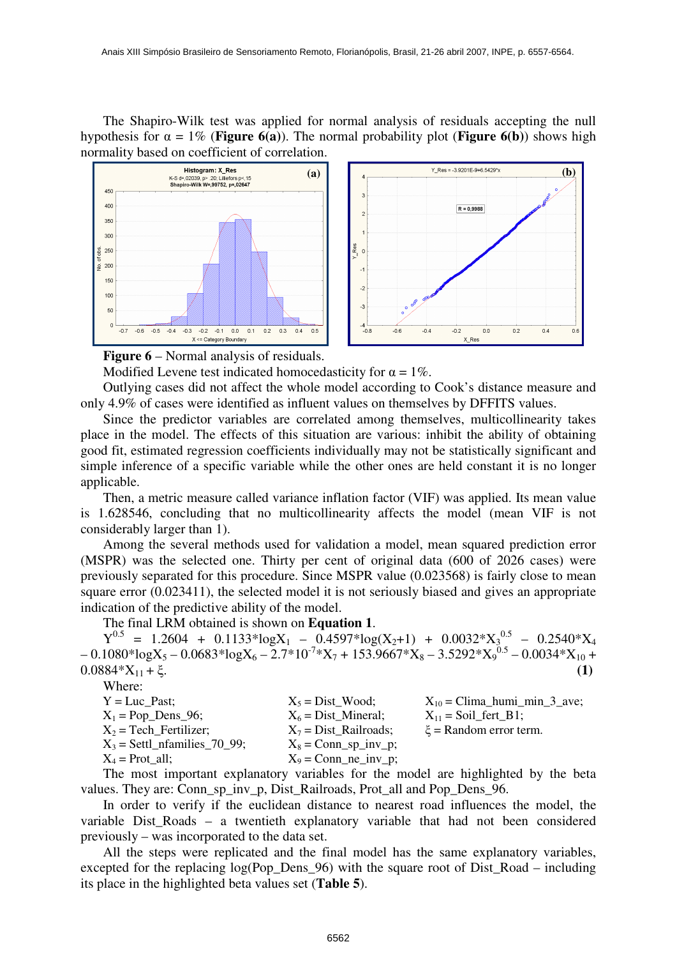The Shapiro-Wilk test was applied for normal analysis of residuals accepting the null hypothesis for  $\alpha = 1\%$  (**Figure 6(a)**). The normal probability plot (**Figure 6(b)**) shows high normality based on coefficient of correlation.





**Figure 6** – Normal analysis of residuals.

Modified Levene test indicated homocedasticity for  $\alpha = 1\%$ .

Outlying cases did not affect the whole model according to Cook's distance measure and only 4.9% of cases were identified as influent values on themselves by DFFITS values.

Since the predictor variables are correlated among themselves, multicollinearity takes place in the model. The effects of this situation are various: inhibit the ability of obtaining good fit, estimated regression coefficients individually may not be statistically significant and simple inference of a specific variable while the other ones are held constant it is no longer applicable.

Then, a metric measure called variance inflation factor (VIF) was applied. Its mean value is 1.628546, concluding that no multicollinearity affects the model (mean VIF is not considerably larger than 1).

Among the several methods used for validation a model, mean squared prediction error (MSPR) was the selected one. Thirty per cent of original data (600 of 2026 cases) were previously separated for this procedure. Since MSPR value (0.023568) is fairly close to mean square error (0.023411), the selected model it is not seriously biased and gives an appropriate indication of the predictive ability of the model.

The final LRM obtained is shown on **Equation 1**.

 $Y^{0.5}$  = 1.2604 + 0.1133\*logX<sub>1</sub> - 0.4597\*log(X<sub>2</sub>+1) + 0.0032\*X<sub>3</sub><sup>0.5</sup> - 0.2540\*X<sub>4</sub>  $-0.1080 * \log X_5 - 0.0683 * \log X_6 - 2.7 * 10^{-7} * X_7 + 153.9667 * X_8 - 3.5292 * X_9^{0.5} - 0.0034 * X_{10} +$  $0.0884*X_{11} + \xi$ . (1)

Where:

| $Y = Luc$ Past;                | $X_5 = Dist$ Wood;                                    | $X_{10}$ = Clima_humi_min_3_ave; |
|--------------------------------|-------------------------------------------------------|----------------------------------|
| $X_1 = Pop\_Dens_96;$          | $X_6$ = Dist Mineral;                                 | $X_{11}$ = Soil fert B1;         |
| $X_2$ = Tech Fertilizer;       | $X_7$ = Dist Railroads;                               | $\xi$ = Random error term.       |
| $X_3$ = Settl_nfamilies_70_99; | $X_8 = \text{Conn}\_\text{sp}\_\text{inv}\_\text{p};$ |                                  |
| $X_4 = Prot\_all;$             | $X_9 = \text{Conn}\_\text{ne}\_\text{inv}\_\text{p};$ |                                  |

The most important explanatory variables for the model are highlighted by the beta values. They are: Conn\_sp\_inv\_p, Dist\_Railroads, Prot\_all and Pop\_Dens\_96.

In order to verify if the euclidean distance to nearest road influences the model, the variable Dist\_Roads – a twentieth explanatory variable that had not been considered previously – was incorporated to the data set.

All the steps were replicated and the final model has the same explanatory variables, excepted for the replacing log(Pop Dens  $96$ ) with the square root of Dist Road – including its place in the highlighted beta values set (**Table 5**).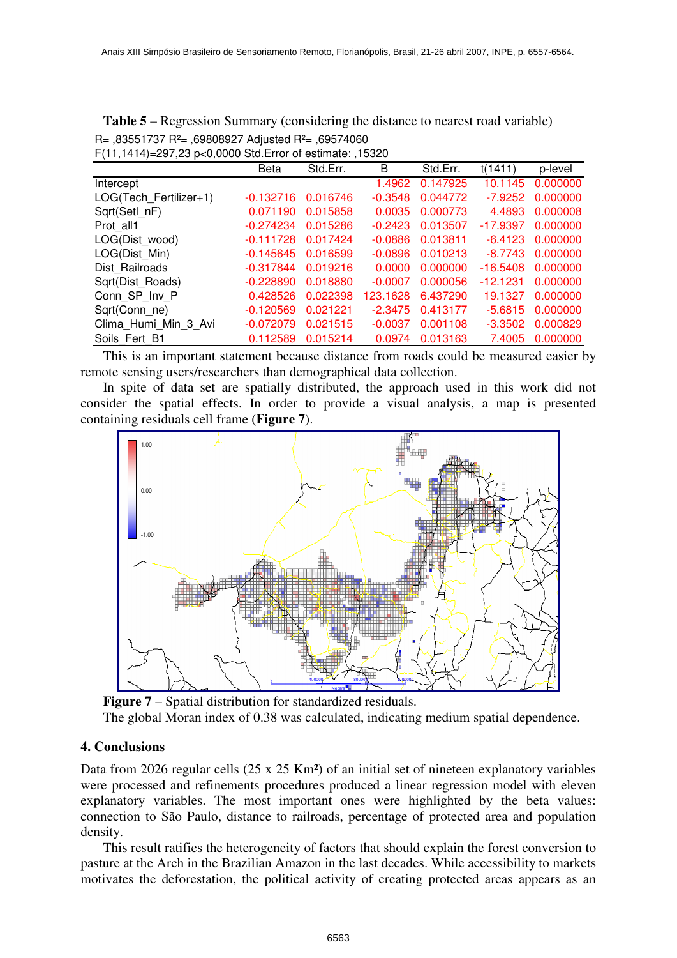| <b>Table 5</b> – Regression Summary (considering the distance to nearest road variable) |
|-----------------------------------------------------------------------------------------|
| $R = 0.83551737 R^2 = 0.69808927 Adjusted R^2 = 0.69574060$                             |
| F(11,1414)=297,23 p<0,0000 Std. Error of estimate: ,15320                               |

|                        | <b>Beta</b> | Std.Err. | В         | Std.Err. | t(1411)    | p-level  |
|------------------------|-------------|----------|-----------|----------|------------|----------|
| Intercept              |             |          | 1.4962    | 0.147925 | 10.1145    | 0.000000 |
| LOG(Tech Fertilizer+1) | $-0.132716$ | 0.016746 | $-0.3548$ | 0.044772 | $-7.9252$  | 0.000000 |
| Sqrt(SetI nF)          | 0.071190    | 0.015858 | 0.0035    | 0.000773 | 4.4893     | 0.000008 |
| Prot all1              | $-0.274234$ | 0.015286 | $-0.2423$ | 0.013507 | $-17.9397$ | 0.000000 |
| LOG(Dist wood)         | $-0.111728$ | 0.017424 | $-0.0886$ | 0.013811 | $-6.4123$  | 0.000000 |
| LOG(Dist Min)          | $-0.145645$ | 0.016599 | $-0.0896$ | 0.010213 | $-8.7743$  | 0.000000 |
| Dist Railroads         | $-0.317844$ | 0.019216 | 0.0000    | 0.000000 | $-16.5408$ | 0.000000 |
| Sqrt(Dist Roads)       | $-0.228890$ | 0.018880 | $-0.0007$ | 0.000056 | $-12.1231$ | 0.000000 |
| Conn SP Inv P          | 0.428526    | 0.022398 | 123.1628  | 6.437290 | 19.1327    | 0.000000 |
| Sqrt(Conn ne)          | $-0.120569$ | 0.021221 | $-2.3475$ | 0.413177 | $-5.6815$  | 0.000000 |
| Clima Humi Min 3 Avi   | $-0.072079$ | 0.021515 | $-0.0037$ | 0.001108 | $-3.3502$  | 0.000829 |
| Soils Fert B1          | 0.112589    | 0.015214 | 0.0974    | 0.013163 | 7.4005     | 0.000000 |

This is an important statement because distance from roads could be measured easier by remote sensing users/researchers than demographical data collection.

In spite of data set are spatially distributed, the approach used in this work did not consider the spatial effects. In order to provide a visual analysis, a map is presented containing residuals cell frame (**Figure 7**).



**Figure 7** – Spatial distribution for standardized residuals. The global Moran index of 0.38 was calculated, indicating medium spatial dependence.

# **4. Conclusions**

Data from 2026 regular cells (25 x 25 Km<sup>2</sup>) of an initial set of nineteen explanatory variables were processed and refinements procedures produced a linear regression model with eleven explanatory variables. The most important ones were highlighted by the beta values: connection to São Paulo, distance to railroads, percentage of protected area and population density.

This result ratifies the heterogeneity of factors that should explain the forest conversion to pasture at the Arch in the Brazilian Amazon in the last decades. While accessibility to markets motivates the deforestation, the political activity of creating protected areas appears as an